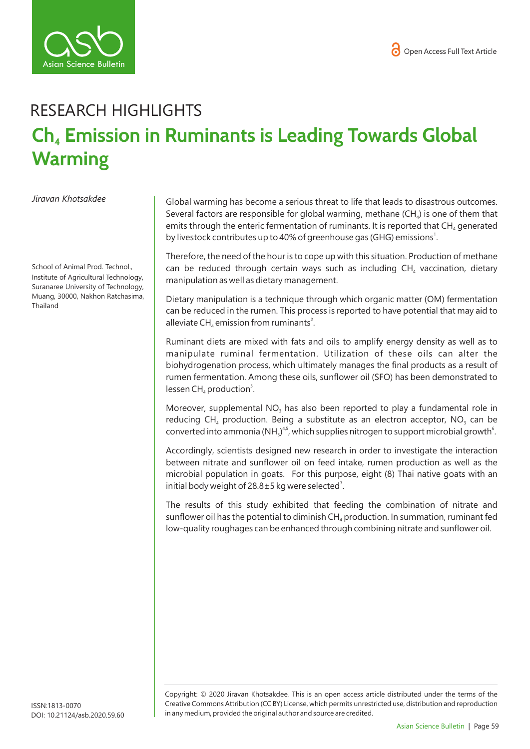

## RESEARCH HIGHLIGHTS **Ch<sub>4</sub> Emission in Ruminants is Leading Towards Global Warming**

*Jiravan Khotsakdee* 

School of Animal Prod. Technol., Institute of Agricultural Technology, Suranaree University of Technology, Muang, 30000, Nakhon Ratchasima, Thailand

Global warming has become a serious threat to life that leads to disastrous outcomes. Several factors are responsible for global warming, methane  $(CH<sub>a</sub>)$  is one of them that emits through the enteric fermentation of ruminants. It is reported that  $CH<sub>4</sub>$  generated by livestock contributes up to 40% of greenhouse gas (GHG) emissions<sup>1</sup>.

Therefore, the need of the hour is to cope up with this situation. Production of methane can be reduced through certain ways such as including  $CH<sub>a</sub>$  vaccination, dietary manipulation as well as dietary management.

Dietary manipulation is a technique through which organic matter (OM) fermentation can be reduced in the rumen. This process is reported to have potential that may aid to alleviate CH<sub>4</sub> emission from ruminants<sup>2</sup>.

Ruminant diets are mixed with fats and oils to amplify energy density as well as to manipulate ruminal fermentation. Utilization of these oils can alter the biohydrogenation process, which ultimately manages the final products as a result of rumen fermentation. Among these oils, sunflower oil (SFO) has been demonstrated to  $lessen CH<sub>4</sub> production<sup>3</sup>.$ 

Moreover, supplemental  $NO<sub>a</sub>$  has also been reported to play a fundamental role in reducing CH<sub>4</sub> production. Being a substitute as an electron acceptor, NO<sub>3</sub> can be converted into ammonia (NH<sub>3</sub>)<sup>4,5</sup>, which supplies nitrogen to support microbial growth<sup>6</sup>.

Accordingly, scientists designed new research in order to investigate the interaction between nitrate and sunflower oil on feed intake, rumen production as well as the microbial population in goats. For this purpose, eight (8) Thai native goats with an initial body weight of 28.8 $\pm$ 5 kg were selected<sup>7</sup>.

The results of this study exhibited that feeding the combination of nitrate and sunflower oil has the potential to diminish  $CH<sub>4</sub>$  production. In summation, ruminant fed low-quality roughages can be enhanced through combining nitrate and sunflower oil.